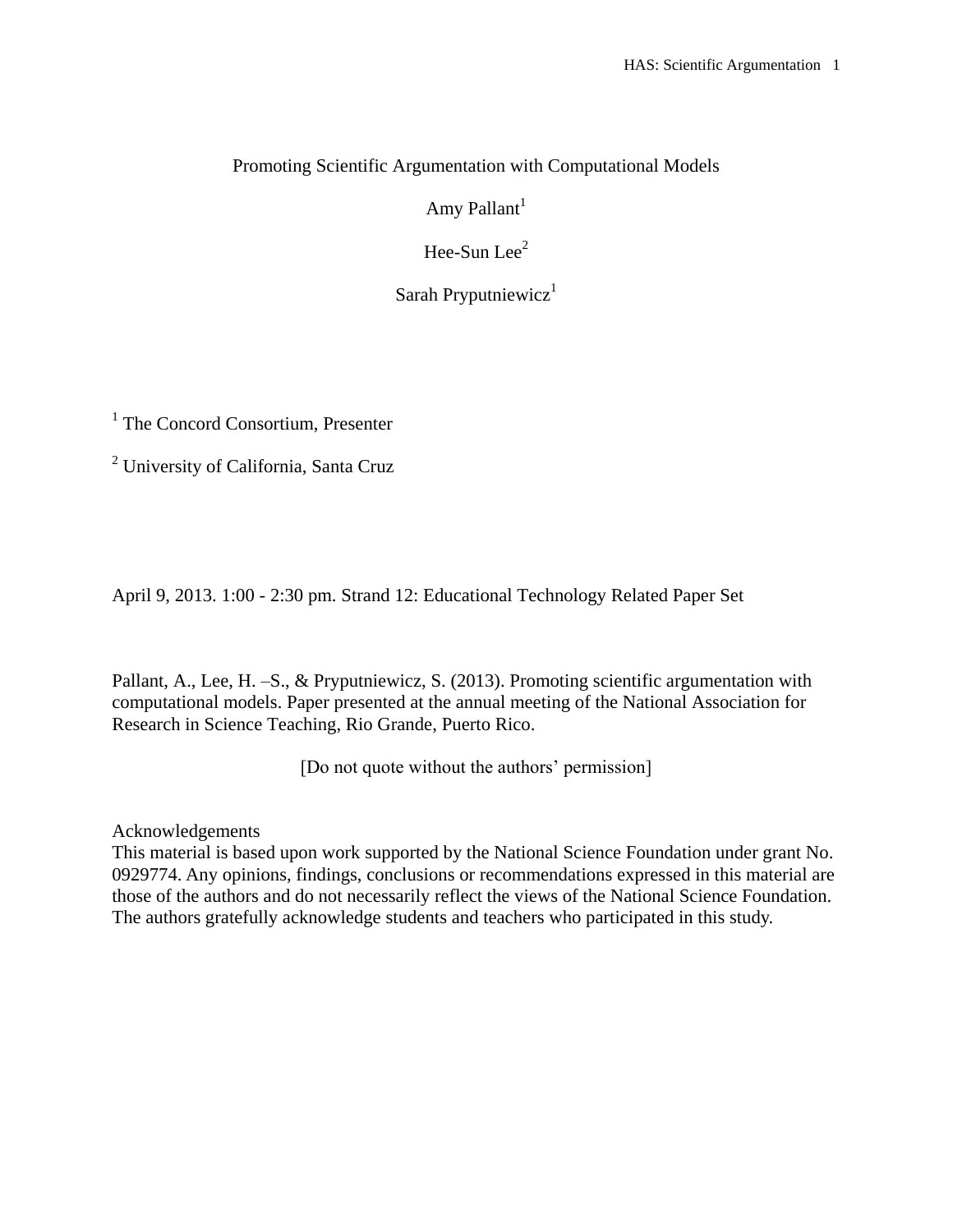# Promoting Scientific Argumentation with Computational Models

Amy Pallant<sup>1</sup>

Hee-Sun Lee $<sup>2</sup>$ </sup>

Sarah Pryputniewicz $1$ 

<sup>1</sup> The Concord Consortium, Presenter

<sup>2</sup> University of California, Santa Cruz

April 9, 2013. 1:00 - 2:30 pm. Strand 12: Educational Technology Related Paper Set

Pallant, A., Lee, H. -S., & Pryputniewicz, S. (2013). Promoting scientific argumentation with computational models. Paper presented at the annual meeting of the National Association for Research in Science Teaching, Rio Grande, Puerto Rico.

[Do not quote without the authors' permission]

Acknowledgements

This material is based upon work supported by the National Science Foundation under grant No. 0929774. Any opinions, findings, conclusions or recommendations expressed in this material are those of the authors and do not necessarily reflect the views of the National Science Foundation. The authors gratefully acknowledge students and teachers who participated in this study.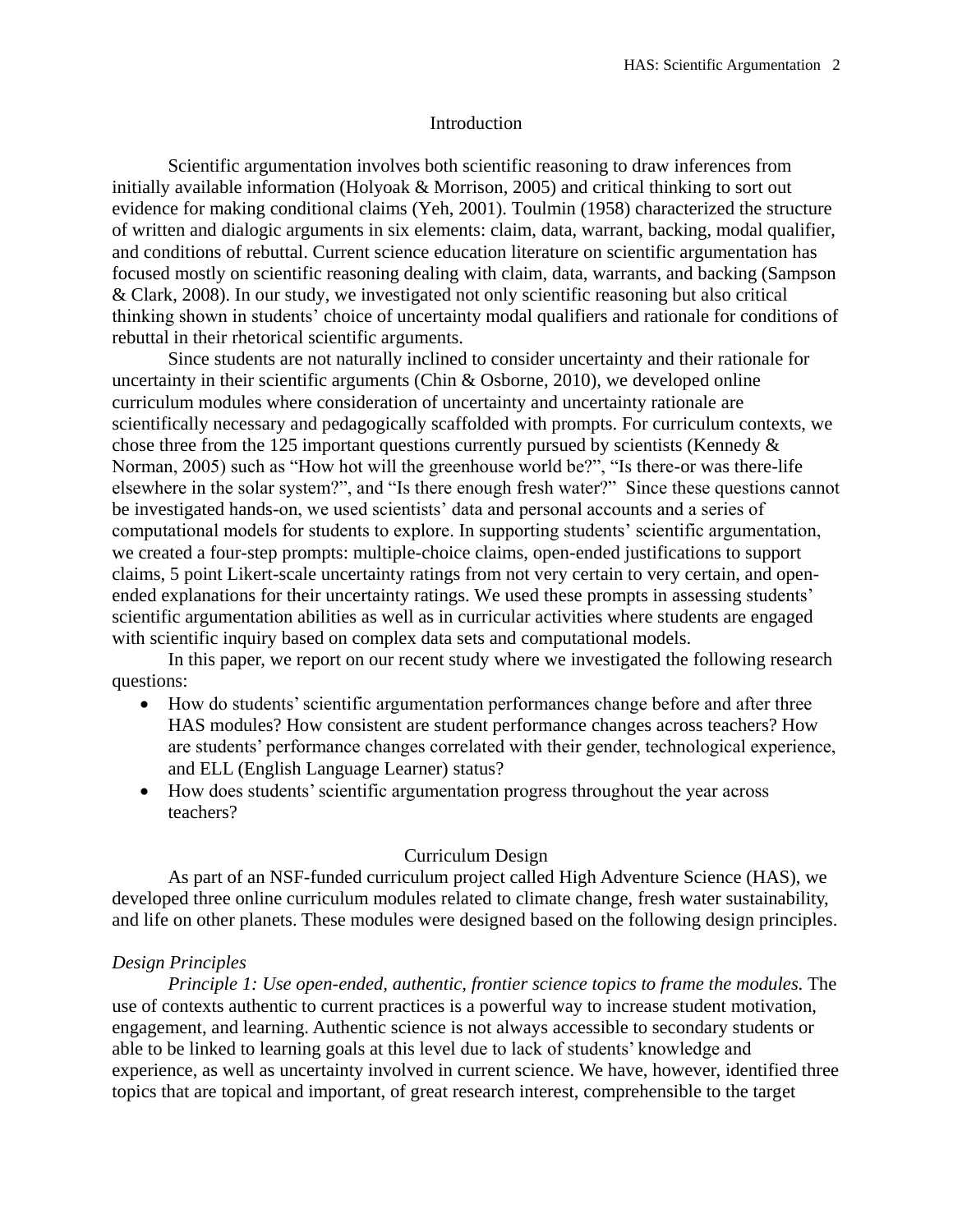#### Introduction

Scientific argumentation involves both scientific reasoning to draw inferences from initially available information (Holyoak & Morrison, 2005) and critical thinking to sort out evidence for making conditional claims (Yeh, 2001). Toulmin (1958) characterized the structure of written and dialogic arguments in six elements: claim, data, warrant, backing, modal qualifier, and conditions of rebuttal. Current science education literature on scientific argumentation has focused mostly on scientific reasoning dealing with claim, data, warrants, and backing (Sampson & Clark, 2008). In our study, we investigated not only scientific reasoning but also critical thinking shown in students' choice of uncertainty modal qualifiers and rationale for conditions of rebuttal in their rhetorical scientific arguments.

Since students are not naturally inclined to consider uncertainty and their rationale for uncertainty in their scientific arguments (Chin & Osborne, 2010), we developed online curriculum modules where consideration of uncertainty and uncertainty rationale are scientifically necessary and pedagogically scaffolded with prompts. For curriculum contexts, we chose three from the 125 important questions currently pursued by scientists (Kennedy  $\&$ Norman, 2005) such as "How hot will the greenhouse world be?", "Is there-or was there-life elsewhere in the solar system?", and "Is there enough fresh water?" Since these questions cannot be investigated hands-on, we used scientists' data and personal accounts and a series of computational models for students to explore. In supporting students' scientific argumentation, we created a four-step prompts: multiple-choice claims, open-ended justifications to support claims, 5 point Likert-scale uncertainty ratings from not very certain to very certain, and openended explanations for their uncertainty ratings. We used these prompts in assessing students' scientific argumentation abilities as well as in curricular activities where students are engaged with scientific inquiry based on complex data sets and computational models.

In this paper, we report on our recent study where we investigated the following research questions:

- How do students' scientific argumentation performances change before and after three HAS modules? How consistent are student performance changes across teachers? How are students' performance changes correlated with their gender, technological experience, and ELL (English Language Learner) status?
- How does students' scientific argumentation progress throughout the year across teachers?

# Curriculum Design

As part of an NSF-funded curriculum project called High Adventure Science (HAS), we developed three online curriculum modules related to climate change, fresh water sustainability, and life on other planets. These modules were designed based on the following design principles.

# *Design Principles*

*Principle 1: Use open-ended, authentic, frontier science topics to frame the modules.* The use of contexts authentic to current practices is a powerful way to increase student motivation, engagement, and learning. Authentic science is not always accessible to secondary students or able to be linked to learning goals at this level due to lack of students' knowledge and experience, as well as uncertainty involved in current science. We have, however, identified three topics that are topical and important, of great research interest, comprehensible to the target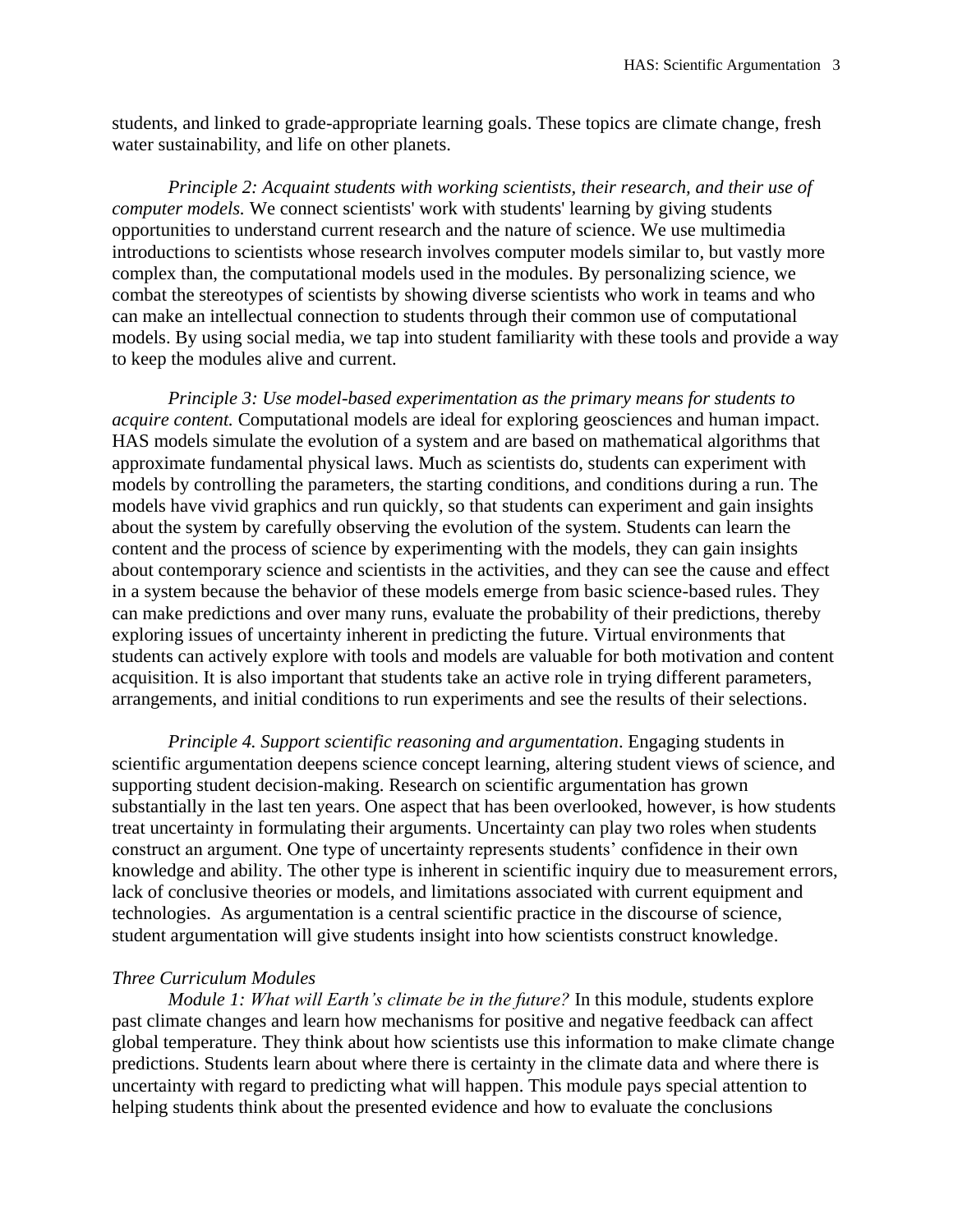students, and linked to grade-appropriate learning goals. These topics are climate change, fresh water sustainability, and life on other planets.

*Principle 2: Acquaint students with working scientists, their research, and their use of computer models.* We connect scientists' work with students' learning by giving students opportunities to understand current research and the nature of science. We use multimedia introductions to scientists whose research involves computer models similar to, but vastly more complex than, the computational models used in the modules. By personalizing science, we combat the stereotypes of scientists by showing diverse scientists who work in teams and who can make an intellectual connection to students through their common use of computational models. By using social media, we tap into student familiarity with these tools and provide a way to keep the modules alive and current.

*Principle 3: Use model-based experimentation as the primary means for students to acquire content.* Computational models are ideal for exploring geosciences and human impact. HAS models simulate the evolution of a system and are based on mathematical algorithms that approximate fundamental physical laws. Much as scientists do, students can experiment with models by controlling the parameters, the starting conditions, and conditions during a run. The models have vivid graphics and run quickly, so that students can experiment and gain insights about the system by carefully observing the evolution of the system. Students can learn the content and the process of science by experimenting with the models, they can gain insights about contemporary science and scientists in the activities, and they can see the cause and effect in a system because the behavior of these models emerge from basic science-based rules. They can make predictions and over many runs, evaluate the probability of their predictions, thereby exploring issues of uncertainty inherent in predicting the future. Virtual environments that students can actively explore with tools and models are valuable for both motivation and content acquisition. It is also important that students take an active role in trying different parameters, arrangements, and initial conditions to run experiments and see the results of their selections.

*Principle 4. Support scientific reasoning and argumentation*. Engaging students in scientific argumentation deepens science concept learning, altering student views of science, and supporting student decision-making. Research on scientific argumentation has grown substantially in the last ten years. One aspect that has been overlooked, however, is how students treat uncertainty in formulating their arguments. Uncertainty can play two roles when students construct an argument. One type of uncertainty represents students' confidence in their own knowledge and ability. The other type is inherent in scientific inquiry due to measurement errors, lack of conclusive theories or models, and limitations associated with current equipment and technologies. As argumentation is a central scientific practice in the discourse of science, student argumentation will give students insight into how scientists construct knowledge.

#### *Three Curriculum Modules*

*Module 1: What will Earth's climate be in the future?* In this module, students explore past climate changes and learn how mechanisms for positive and negative feedback can affect global temperature. They think about how scientists use this information to make climate change predictions. Students learn about where there is certainty in the climate data and where there is uncertainty with regard to predicting what will happen. This module pays special attention to helping students think about the presented evidence and how to evaluate the conclusions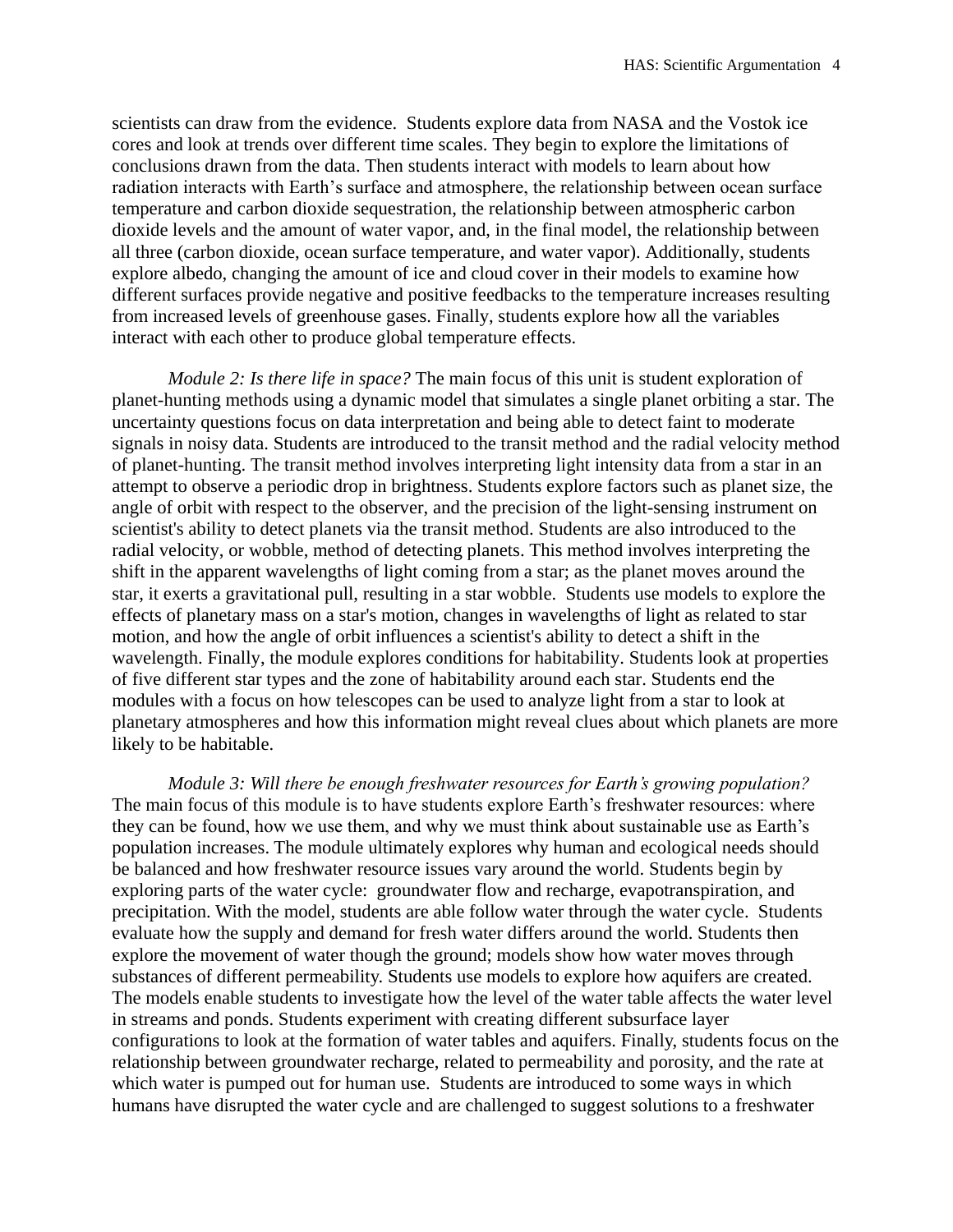scientists can draw from the evidence. Students explore data from NASA and the Vostok ice cores and look at trends over different time scales. They begin to explore the limitations of conclusions drawn from the data. Then students interact with models to learn about how radiation interacts with Earth's surface and atmosphere, the relationship between ocean surface temperature and carbon dioxide sequestration, the relationship between atmospheric carbon dioxide levels and the amount of water vapor, and, in the final model, the relationship between all three (carbon dioxide, ocean surface temperature, and water vapor). Additionally, students explore albedo, changing the amount of ice and cloud cover in their models to examine how different surfaces provide negative and positive feedbacks to the temperature increases resulting from increased levels of greenhouse gases. Finally, students explore how all the variables interact with each other to produce global temperature effects.

*Module 2: Is there life in space?* The main focus of this unit is student exploration of planet-hunting methods using a dynamic model that simulates a single planet orbiting a star. The uncertainty questions focus on data interpretation and being able to detect faint to moderate signals in noisy data. Students are introduced to the transit method and the radial velocity method of planet-hunting. The transit method involves interpreting light intensity data from a star in an attempt to observe a periodic drop in brightness. Students explore factors such as planet size, the angle of orbit with respect to the observer, and the precision of the light-sensing instrument on scientist's ability to detect planets via the transit method. Students are also introduced to the radial velocity, or wobble, method of detecting planets. This method involves interpreting the shift in the apparent wavelengths of light coming from a star; as the planet moves around the star, it exerts a gravitational pull, resulting in a star wobble. Students use models to explore the effects of planetary mass on a star's motion, changes in wavelengths of light as related to star motion, and how the angle of orbit influences a scientist's ability to detect a shift in the wavelength. Finally, the module explores conditions for habitability. Students look at properties of five different star types and the zone of habitability around each star. Students end the modules with a focus on how telescopes can be used to analyze light from a star to look at planetary atmospheres and how this information might reveal clues about which planets are more likely to be habitable.

*Module 3: Will there be enough freshwater resources for Earth's growing population?*  The main focus of this module is to have students explore Earth's freshwater resources: where they can be found, how we use them, and why we must think about sustainable use as Earth's population increases. The module ultimately explores why human and ecological needs should be balanced and how freshwater resource issues vary around the world. Students begin by exploring parts of the water cycle: groundwater flow and recharge, evapotranspiration, and precipitation. With the model, students are able follow water through the water cycle. Students evaluate how the supply and demand for fresh water differs around the world. Students then explore the movement of water though the ground; models show how water moves through substances of different permeability. Students use models to explore how aquifers are created. The models enable students to investigate how the level of the water table affects the water level in streams and ponds. Students experiment with creating different subsurface layer configurations to look at the formation of water tables and aquifers. Finally, students focus on the relationship between groundwater recharge, related to permeability and porosity, and the rate at which water is pumped out for human use. Students are introduced to some ways in which humans have disrupted the water cycle and are challenged to suggest solutions to a freshwater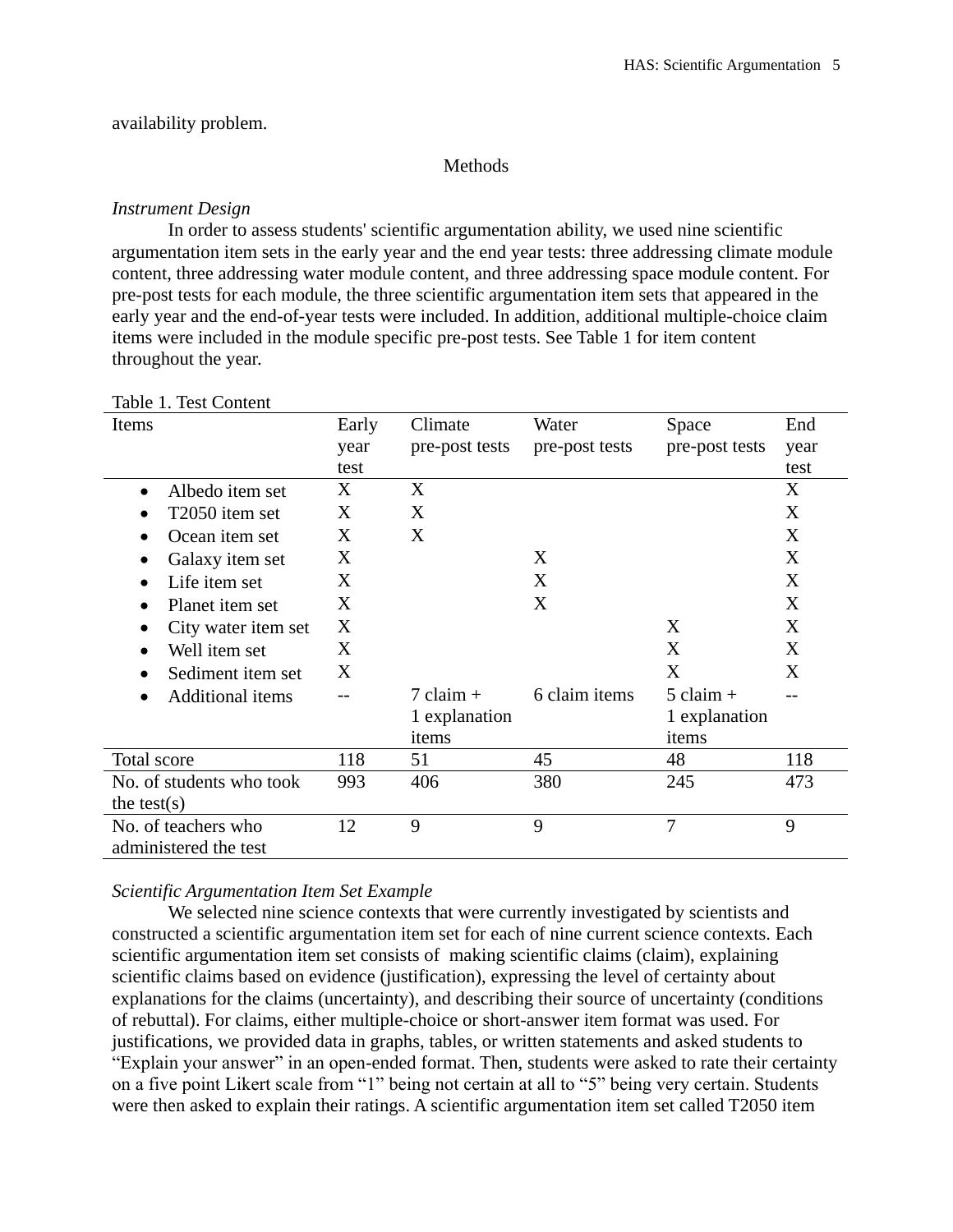# availability problem.

## Methods

## *Instrument Design*

In order to assess students' scientific argumentation ability, we used nine scientific argumentation item sets in the early year and the end year tests: three addressing climate module content, three addressing water module content, and three addressing space module content. For pre-post tests for each module, the three scientific argumentation item sets that appeared in the early year and the end-of-year tests were included. In addition, additional multiple-choice claim items were included in the module specific pre-post tests. See Table 1 for item content throughout the year.

| Items                                        | Early | Climate             | Water          | Space          | End  |
|----------------------------------------------|-------|---------------------|----------------|----------------|------|
|                                              | year  | pre-post tests      | pre-post tests | pre-post tests | year |
|                                              | test  |                     |                |                | test |
| Albedo item set<br>$\bullet$                 | X     | X                   |                |                | X    |
| T2050 item set                               | X     | X                   |                |                | X    |
| Ocean item set                               | X     | X                   |                |                | X    |
| Galaxy item set                              | X     |                     | X              |                | X    |
| Life item set                                | X     |                     | X              |                | X    |
| Planet item set<br>$\bullet$                 | X     |                     | X              |                | X    |
| City water item set                          | X     |                     |                | X              | X    |
| Well item set                                | X     |                     |                | X              | X    |
| Sediment item set                            | X     |                     |                | X              | X    |
| <b>Additional items</b>                      |       | $7 \text{ claim} +$ | 6 claim items  | $5$ claim $+$  |      |
|                                              |       | 1 explanation       |                | 1 explanation  |      |
|                                              |       | items               |                | items          |      |
| Total score                                  | 118   | 51                  | 45             | 48             | 118  |
| No. of students who took                     | 993   | 406                 | 380            | 245            | 473  |
| the test(s)                                  |       |                     |                |                |      |
| No. of teachers who<br>administered the test | 12    | 9                   | 9              | 7              | 9    |

## Table 1. Test Content

## *Scientific Argumentation Item Set Example*

We selected nine science contexts that were currently investigated by scientists and constructed a scientific argumentation item set for each of nine current science contexts. Each scientific argumentation item set consists of making scientific claims (claim), explaining scientific claims based on evidence (justification), expressing the level of certainty about explanations for the claims (uncertainty), and describing their source of uncertainty (conditions of rebuttal). For claims, either multiple-choice or short-answer item format was used. For justifications, we provided data in graphs, tables, or written statements and asked students to "Explain your answer" in an open-ended format. Then, students were asked to rate their certainty on a five point Likert scale from "1" being not certain at all to "5" being very certain. Students were then asked to explain their ratings. A scientific argumentation item set called T2050 item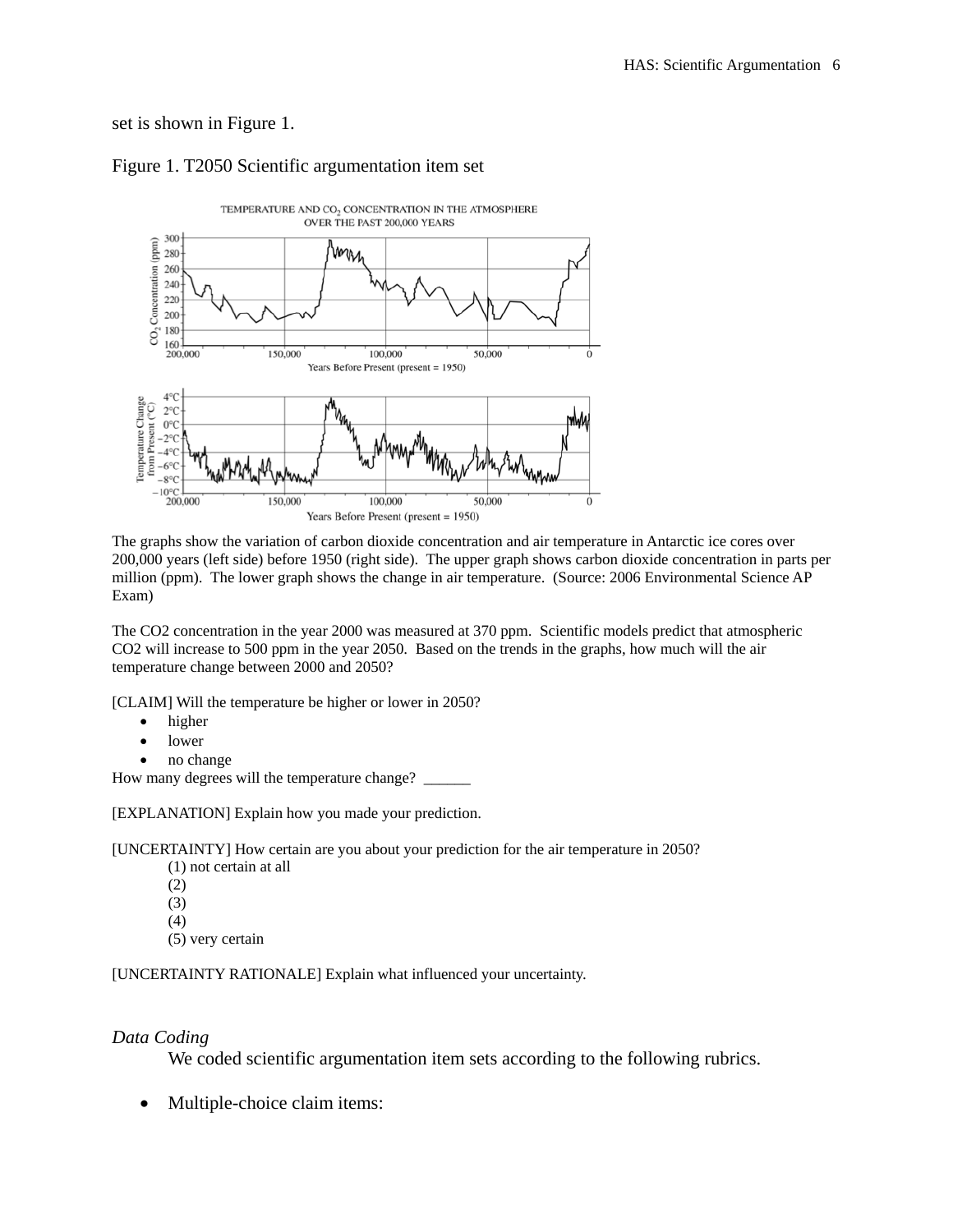# set is shown in Figure 1.



# Figure 1. T2050 Scientific argumentation item set

The graphs show the variation of carbon dioxide concentration and air temperature in Antarctic ice cores over 200,000 years (left side) before 1950 (right side). The upper graph shows carbon dioxide concentration in parts per million (ppm). The lower graph shows the change in air temperature. (Source: 2006 Environmental Science AP Exam)

The CO2 concentration in the year 2000 was measured at 370 ppm. Scientific models predict that atmospheric CO2 will increase to 500 ppm in the year 2050. Based on the trends in the graphs, how much will the air temperature change between 2000 and 2050?

[CLAIM] Will the temperature be higher or lower in 2050?

- higher
- lower
- no change

How many degrees will the temperature change? \_\_\_\_\_\_\_

[EXPLANATION] Explain how you made your prediction.

[UNCERTAINTY] How certain are you about your prediction for the air temperature in 2050?

- (1) not certain at all
- (2)
- (3)
- (4)
- (5) very certain

[UNCERTAINTY RATIONALE] Explain what influenced your uncertainty.

### *Data Coding*

We coded scientific argumentation item sets according to the following rubrics.

• Multiple-choice claim items: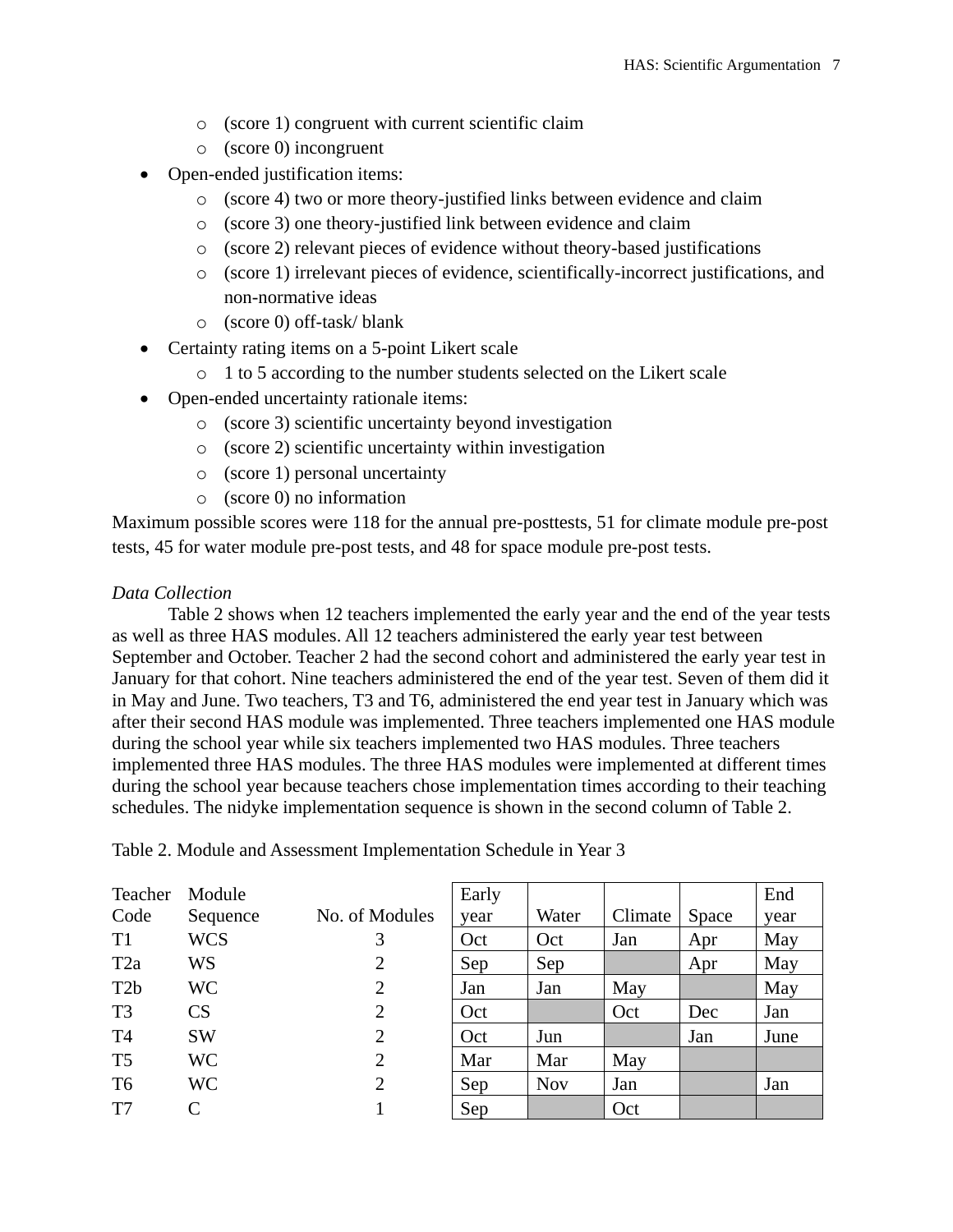- o (score 1) congruent with current scientific claim
- o (score 0) incongruent
- Open-ended justification items:
	- o (score 4) two or more theory-justified links between evidence and claim
	- o (score 3) one theory-justified link between evidence and claim
	- o (score 2) relevant pieces of evidence without theory-based justifications
	- o (score 1) irrelevant pieces of evidence, scientifically-incorrect justifications, and non-normative ideas
	- o (score 0) off-task/ blank
- Certainty rating items on a 5-point Likert scale
	- o 1 to 5 according to the number students selected on the Likert scale
- Open-ended uncertainty rationale items:
	- o (score 3) scientific uncertainty beyond investigation
	- o (score 2) scientific uncertainty within investigation
	- o (score 1) personal uncertainty
	- o (score 0) no information

Maximum possible scores were 118 for the annual pre-posttests, 51 for climate module pre-post tests, 45 for water module pre-post tests, and 48 for space module pre-post tests.

#### *Data Collection*

Table 2 shows when 12 teachers implemented the early year and the end of the year tests as well as three HAS modules. All 12 teachers administered the early year test between September and October. Teacher 2 had the second cohort and administered the early year test in January for that cohort. Nine teachers administered the end of the year test. Seven of them did it in May and June. Two teachers, T3 and T6, administered the end year test in January which was after their second HAS module was implemented. Three teachers implemented one HAS module during the school year while six teachers implemented two HAS modules. Three teachers implemented three HAS modules. The three HAS modules were implemented at different times during the school year because teachers chose implementation times according to their teaching schedules. The nidyke implementation sequence is shown in the second column of Table 2.

| Teacher          | Module     |                | Early |            |         |       | End  |
|------------------|------------|----------------|-------|------------|---------|-------|------|
| Code             | Sequence   | No. of Modules | year  | Water      | Climate | Space | year |
| T <sub>1</sub>   | <b>WCS</b> | 3              | Oct   | Oct        | Jan     | Apr   | May  |
| T <sub>2</sub> a | WS         | 2              | Sep   | Sep        |         | Apr   | May  |
| T <sub>2</sub> b | WC.        | $\overline{2}$ | Jan   | Jan        | May     |       | May  |
| T <sub>3</sub>   | CS         | $\overline{2}$ | Oct   |            | Oct     | Dec   | Jan  |
| T <sub>4</sub>   | <b>SW</b>  | $\overline{2}$ | Oct   | Jun        |         | Jan   | June |
| T <sub>5</sub>   | WC         | $\overline{2}$ | Mar   | Mar        | May     |       |      |
| T <sub>6</sub>   | WC         | $\overline{2}$ | Sep   | <b>Nov</b> | Jan     |       | Jan  |
| T <sub>7</sub>   |            |                | Sep   |            | Oct     |       |      |

Table 2. Module and Assessment Implementation Schedule in Year 3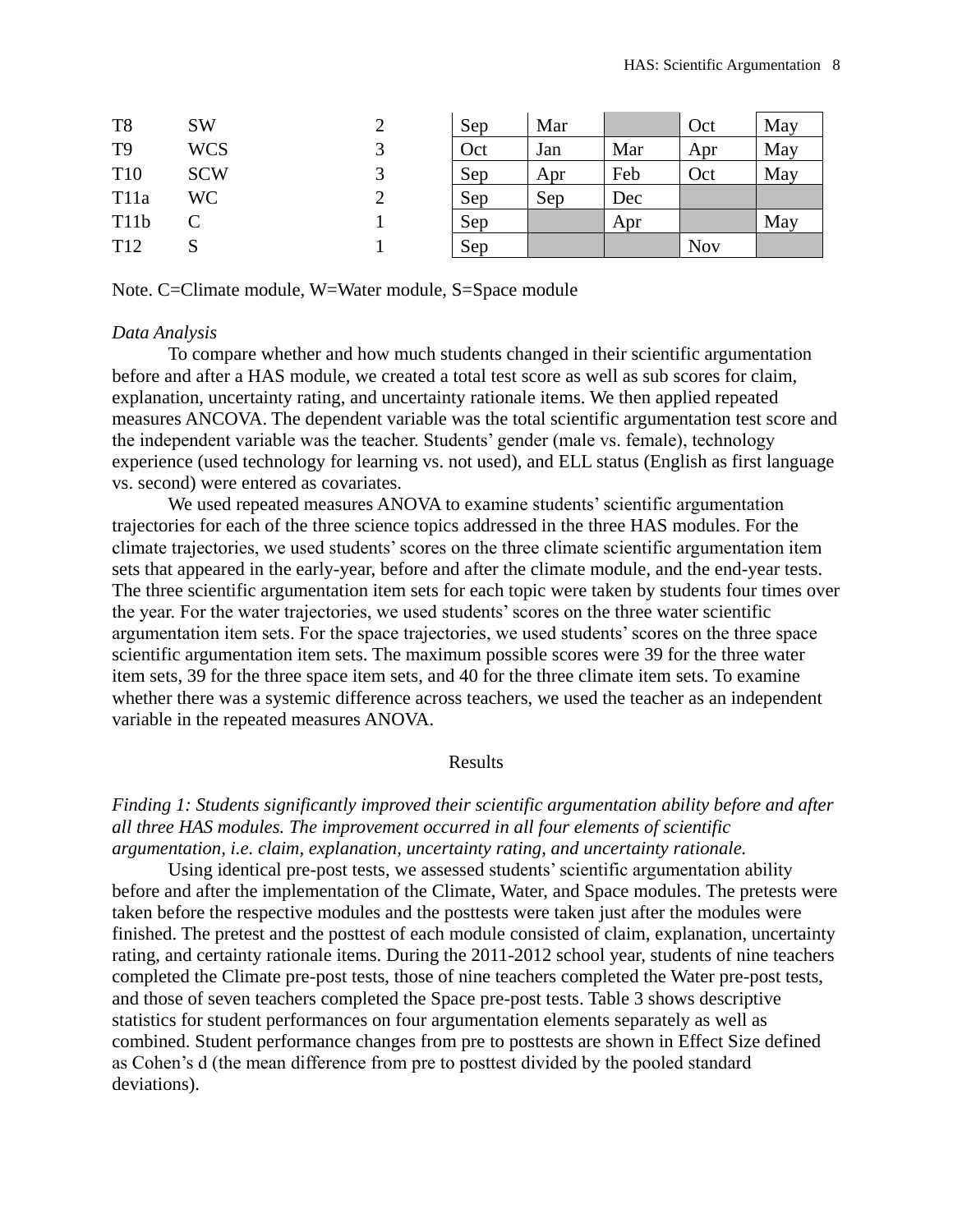| T <sub>8</sub>    | <b>SW</b>  |   | Sep | Mar |     | Oct        | May |
|-------------------|------------|---|-----|-----|-----|------------|-----|
| T <sub>9</sub>    | <b>WCS</b> |   | Oct | Jan | Mar | Apr        | May |
| T <sub>10</sub>   | <b>SCW</b> |   | Sep | Apr | Feb | Oct        | May |
| T <sub>11</sub> a | WC         | ∠ | Sep | Sep | Dec |            |     |
| T11b              |            |   | Sep |     | Apr |            | May |
| T <sub>12</sub>   | N          |   | Sep |     |     | <b>Nov</b> |     |

Note. C=Climate module, W=Water module, S=Space module

### *Data Analysis*

To compare whether and how much students changed in their scientific argumentation before and after a HAS module, we created a total test score as well as sub scores for claim, explanation, uncertainty rating, and uncertainty rationale items. We then applied repeated measures ANCOVA. The dependent variable was the total scientific argumentation test score and the independent variable was the teacher. Students' gender (male vs. female), technology experience (used technology for learning vs. not used), and ELL status (English as first language vs. second) were entered as covariates.

We used repeated measures ANOVA to examine students' scientific argumentation trajectories for each of the three science topics addressed in the three HAS modules. For the climate trajectories, we used students' scores on the three climate scientific argumentation item sets that appeared in the early-year, before and after the climate module, and the end-year tests. The three scientific argumentation item sets for each topic were taken by students four times over the year. For the water trajectories, we used students' scores on the three water scientific argumentation item sets. For the space trajectories, we used students' scores on the three space scientific argumentation item sets. The maximum possible scores were 39 for the three water item sets, 39 for the three space item sets, and 40 for the three climate item sets. To examine whether there was a systemic difference across teachers, we used the teacher as an independent variable in the repeated measures ANOVA.

#### Results

*Finding 1: Students significantly improved their scientific argumentation ability before and after all three HAS modules. The improvement occurred in all four elements of scientific argumentation, i.e. claim, explanation, uncertainty rating, and uncertainty rationale.*

Using identical pre-post tests, we assessed students' scientific argumentation ability before and after the implementation of the Climate, Water, and Space modules. The pretests were taken before the respective modules and the posttests were taken just after the modules were finished. The pretest and the posttest of each module consisted of claim, explanation, uncertainty rating, and certainty rationale items. During the 2011-2012 school year, students of nine teachers completed the Climate pre-post tests, those of nine teachers completed the Water pre-post tests, and those of seven teachers completed the Space pre-post tests. Table 3 shows descriptive statistics for student performances on four argumentation elements separately as well as combined. Student performance changes from pre to posttests are shown in Effect Size defined as Cohen's d (the mean difference from pre to posttest divided by the pooled standard deviations).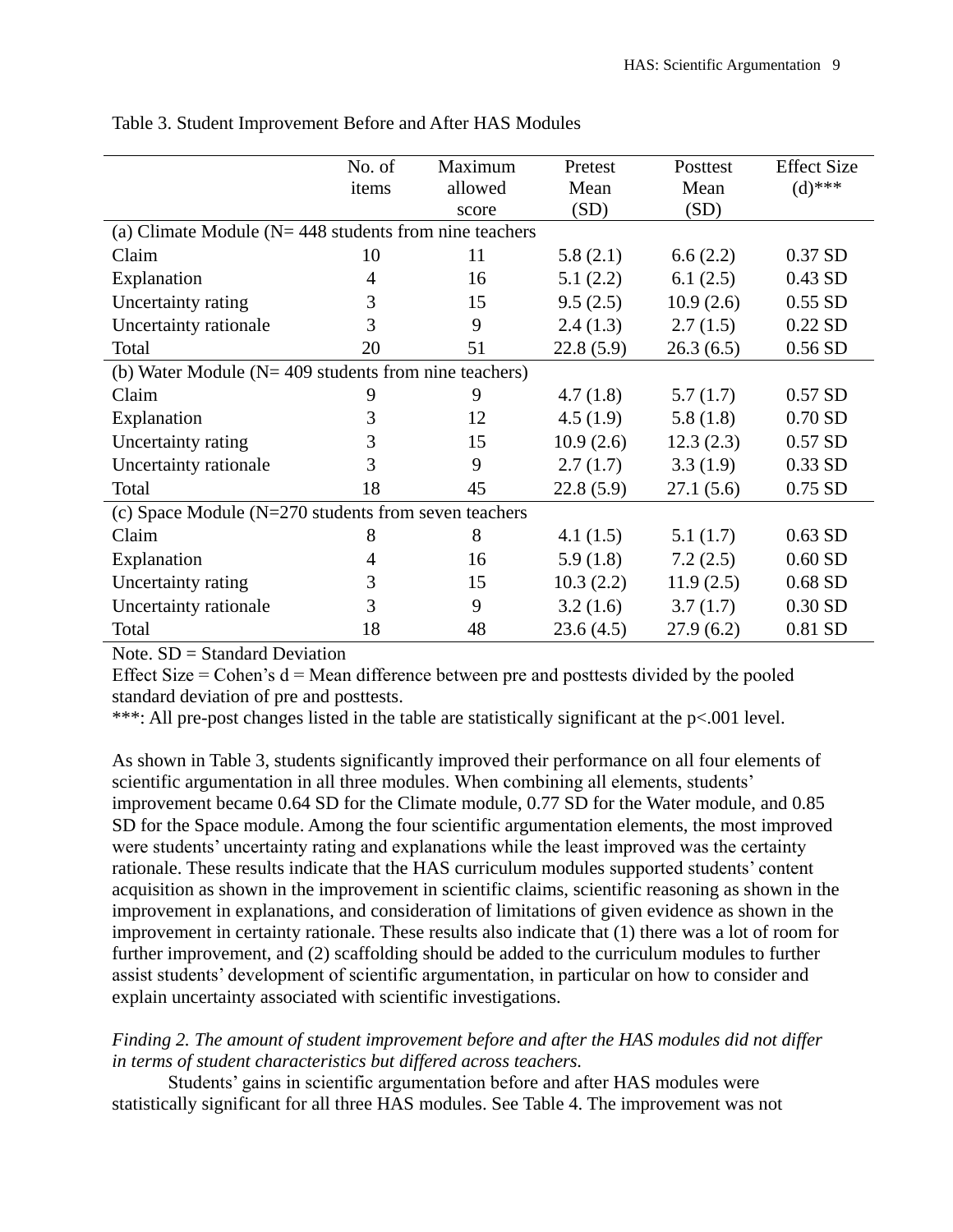|                                                            | No. of | Maximum | Pretest     | Posttest  | <b>Effect Size</b> |  |
|------------------------------------------------------------|--------|---------|-------------|-----------|--------------------|--|
|                                                            | items  | allowed | Mean        | Mean      | $(d)$ ***          |  |
|                                                            |        | score   | (SD)        | (SD)      |                    |  |
| (a) Climate Module ( $N = 448$ students from nine teachers |        |         |             |           |                    |  |
| Claim                                                      | 10     | 11      | 5.8(2.1)    | 6.6(2.2)  | 0.37 SD            |  |
| Explanation                                                | 4      | 16      | 5.1(2.2)    | 6.1(2.5)  | 0.43 SD            |  |
| Uncertainty rating                                         | 3      | 15      | 9.5(2.5)    | 10.9(2.6) | $0.55$ SD          |  |
| Uncertainty rationale                                      | 3      | 9       | 2.4(1.3)    | 2.7(1.5)  | 0.22 SD            |  |
| Total                                                      | 20     | 51      | 22.8(5.9)   | 26.3(6.5) | $0.56$ SD          |  |
| (b) Water Module ( $N = 409$ students from nine teachers)  |        |         |             |           |                    |  |
| Claim                                                      | 9      | 9       | 4.7(1.8)    | 5.7(1.7)  | $0.57$ SD          |  |
| Explanation                                                | 3      | 12      | 4.5(1.9)    | 5.8(1.8)  | $0.70$ SD          |  |
| Uncertainty rating                                         | 3      | 15      | 10.9(2.6)   | 12.3(2.3) | 0.57 SD            |  |
| Uncertainty rationale                                      | 3      | 9       | 2.7(1.7)    | 3.3(1.9)  | 0.33 SD            |  |
| Total                                                      | 18     | 45      | 22.8(5.9)   | 27.1(5.6) | 0.75 SD            |  |
| (c) Space Module ( $N=270$ students from seven teachers    |        |         |             |           |                    |  |
| Claim                                                      | 8      | 8       | 4.1 $(1.5)$ | 5.1(1.7)  | $0.63$ SD          |  |
| Explanation                                                | 4      | 16      | 5.9(1.8)    | 7.2(2.5)  | $0.60$ SD          |  |
| Uncertainty rating                                         | 3      | 15      | 10.3(2.2)   | 11.9(2.5) | 0.68 SD            |  |
| Uncertainty rationale                                      | 3      | 9       | 3.2(1.6)    | 3.7(1.7)  | $0.30$ SD          |  |
| Total                                                      | 18     | 48      | 23.6(4.5)   | 27.9(6.2) | 0.81 SD            |  |

Table 3. Student Improvement Before and After HAS Modules

Note. SD = Standard Deviation

Effect Size  $=$  Cohen's  $d =$  Mean difference between pre and posttests divided by the pooled standard deviation of pre and posttests.

\*\*\*: All pre-post changes listed in the table are statistically significant at the p<.001 level.

As shown in Table 3, students significantly improved their performance on all four elements of scientific argumentation in all three modules. When combining all elements, students' improvement became 0.64 SD for the Climate module, 0.77 SD for the Water module, and 0.85 SD for the Space module. Among the four scientific argumentation elements, the most improved were students' uncertainty rating and explanations while the least improved was the certainty rationale. These results indicate that the HAS curriculum modules supported students' content acquisition as shown in the improvement in scientific claims, scientific reasoning as shown in the improvement in explanations, and consideration of limitations of given evidence as shown in the improvement in certainty rationale. These results also indicate that (1) there was a lot of room for further improvement, and (2) scaffolding should be added to the curriculum modules to further assist students' development of scientific argumentation, in particular on how to consider and explain uncertainty associated with scientific investigations.

# *Finding 2. The amount of student improvement before and after the HAS modules did not differ in terms of student characteristics but differed across teachers.*

Students' gains in scientific argumentation before and after HAS modules were statistically significant for all three HAS modules. See Table 4. The improvement was not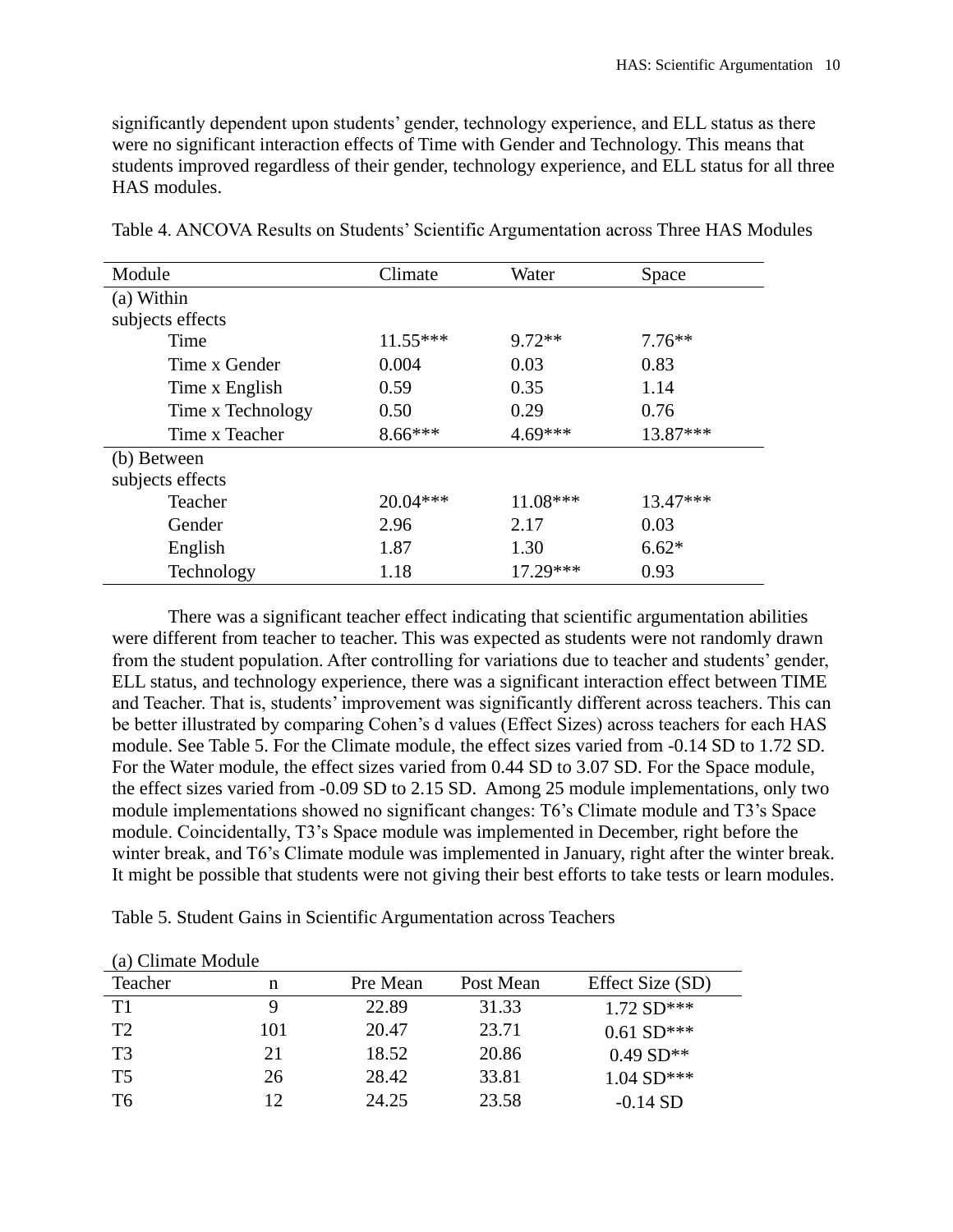significantly dependent upon students' gender, technology experience, and ELL status as there were no significant interaction effects of Time with Gender and Technology. This means that students improved regardless of their gender, technology experience, and ELL status for all three HAS modules.

| Module            | Climate    | Water      | Space      |
|-------------------|------------|------------|------------|
| (a) Within        |            |            |            |
| subjects effects  |            |            |            |
| Time              | $11.55***$ | $9.72**$   | $7.76**$   |
| Time x Gender     | 0.004      | 0.03       | 0.83       |
| Time x English    | 0.59       | 0.35       | 1.14       |
| Time x Technology | 0.50       | 0.29       | 0.76       |
| Time x Teacher    | $8.66***$  | 4.69***    | 13.87***   |
| (b) Between       |            |            |            |
| subjects effects  |            |            |            |
| Teacher           | $20.04***$ | 11.08***   | $13.47***$ |
| Gender            | 2.96       | 2.17       | 0.03       |
| English           | 1.87       | 1.30       | $6.62*$    |
| Technology        | 1.18       | $17.29***$ | 0.93       |

Table 4. ANCOVA Results on Students' Scientific Argumentation across Three HAS Modules

There was a significant teacher effect indicating that scientific argumentation abilities were different from teacher to teacher. This was expected as students were not randomly drawn from the student population. After controlling for variations due to teacher and students' gender, ELL status, and technology experience, there was a significant interaction effect between TIME and Teacher. That is, students' improvement was significantly different across teachers. This can be better illustrated by comparing Cohen's d values (Effect Sizes) across teachers for each HAS module. See Table 5. For the Climate module, the effect sizes varied from -0.14 SD to 1.72 SD. For the Water module, the effect sizes varied from 0.44 SD to 3.07 SD. For the Space module, the effect sizes varied from -0.09 SD to 2.15 SD. Among 25 module implementations, only two module implementations showed no significant changes: T6's Climate module and T3's Space module. Coincidentally, T3's Space module was implemented in December, right before the winter break, and T6's Climate module was implemented in January, right after the winter break. It might be possible that students were not giving their best efforts to take tests or learn modules.

| <i>(a)</i> Unitate Module |     |          |           |                  |
|---------------------------|-----|----------|-----------|------------------|
| Teacher                   | n   | Pre Mean | Post Mean | Effect Size (SD) |
| T1                        |     | 22.89    | 31.33     | $1.72 S D***$    |
| T <sub>2</sub>            | 101 | 20.47    | 23.71     | $0.61 S D***$    |
| T <sub>3</sub>            | 21  | 18.52    | 20.86     | $0.49 S D^{**}$  |
| T <sub>5</sub>            | 26  | 28.42    | 33.81     | $1.04 SD***$     |
| T <sub>6</sub>            | 12  | 24.25    | 23.58     | $-0.14$ SD       |

(a) Climate Module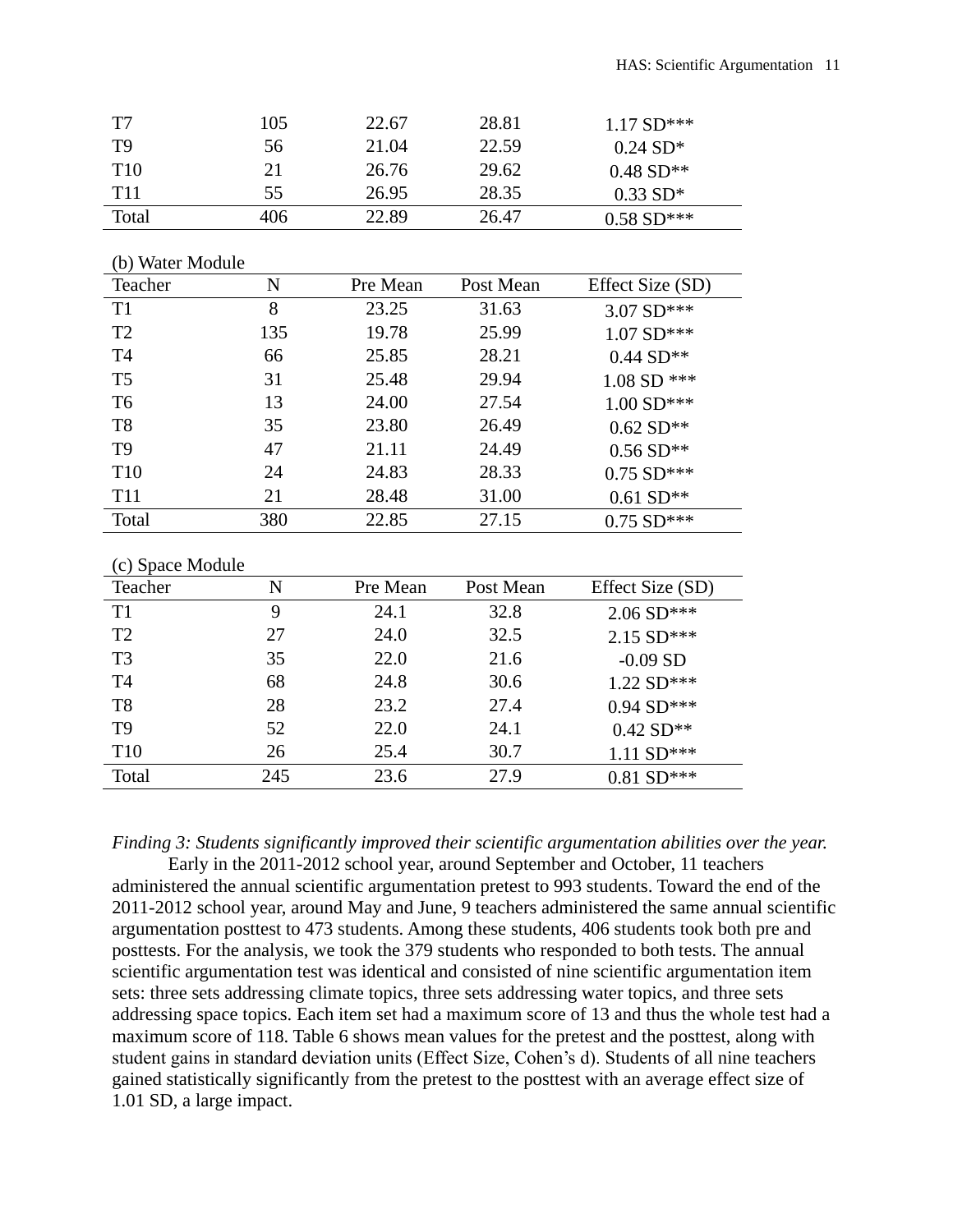| T7              | 105 | 22.67 | 28.81 | $1.17 \text{ SD}^{***}$ |
|-----------------|-----|-------|-------|-------------------------|
| T9              | 56  | 21.04 | 22.59 | $0.24 \text{ SD*}$      |
| T <sub>10</sub> | 21  | 26.76 | 29.62 | $0.48 S D^{**}$         |
| T <sub>11</sub> | 55. | 26.95 | 28.35 | $0.33 \text{ SD*}$      |
| Total           | 406 | 22.89 | 26.47 | $0.58 S D***$           |

|  |  | (b) Water Module |  |  |  |
|--|--|------------------|--|--|--|
|--|--|------------------|--|--|--|

| Teacher         | N   | Pre Mean | Post Mean | Effect Size (SD) |
|-----------------|-----|----------|-----------|------------------|
| T <sub>1</sub>  | 8   | 23.25    | 31.63     | 3.07 SD***       |
| T <sub>2</sub>  | 135 | 19.78    | 25.99     | $1.07 SD***$     |
| <b>T4</b>       | 66  | 25.85    | 28.21     | $0.44 S D^{**}$  |
| T <sub>5</sub>  | 31  | 25.48    | 29.94     | 1.08 SD ***      |
| T <sub>6</sub>  | 13  | 24.00    | 27.54     | $1.00 S D***$    |
| T <sub>8</sub>  | 35  | 23.80    | 26.49     | $0.62 S D**$     |
| T <sub>9</sub>  | 47  | 21.11    | 24.49     | $0.56 S D^{**}$  |
| T <sub>10</sub> | 24  | 24.83    | 28.33     | $0.75$ SD***     |
| <b>T11</b>      | 21  | 28.48    | 31.00     | $0.61 S D^{**}$  |
| Total           | 380 | 22.85    | 27.15     | $0.75$ SD***     |
|                 |     |          |           |                  |

| (c) Space Module |     |          |           |                  |
|------------------|-----|----------|-----------|------------------|
| Teacher          | N   | Pre Mean | Post Mean | Effect Size (SD) |
| T1               | 9   | 24.1     | 32.8      | $2.06 SD***$     |
| T <sub>2</sub>   | 27  | 24.0     | 32.5      | 2.15 SD***       |
| T <sub>3</sub>   | 35  | 22.0     | 21.6      | $-0.09$ SD       |
| T <sub>4</sub>   | 68  | 24.8     | 30.6      | $1.22$ SD***     |
| T <sub>8</sub>   | 28  | 23.2     | 27.4      | $0.94 S D***$    |
| T <sub>9</sub>   | 52  | 22.0     | 24.1      | $0.42 S D^{**}$  |
| T <sub>10</sub>  | 26  | 25.4     | 30.7      | $1.11 SD***$     |
| Total            | 245 | 23.6     | 27.9      | $0.81 S D***$    |

*Finding 3: Students significantly improved their scientific argumentation abilities over the year.*

Early in the 2011-2012 school year, around September and October, 11 teachers administered the annual scientific argumentation pretest to 993 students. Toward the end of the 2011-2012 school year, around May and June, 9 teachers administered the same annual scientific argumentation posttest to 473 students. Among these students, 406 students took both pre and posttests. For the analysis, we took the 379 students who responded to both tests. The annual scientific argumentation test was identical and consisted of nine scientific argumentation item sets: three sets addressing climate topics, three sets addressing water topics, and three sets addressing space topics. Each item set had a maximum score of 13 and thus the whole test had a maximum score of 118. Table 6 shows mean values for the pretest and the posttest, along with student gains in standard deviation units (Effect Size, Cohen's d). Students of all nine teachers gained statistically significantly from the pretest to the posttest with an average effect size of 1.01 SD, a large impact.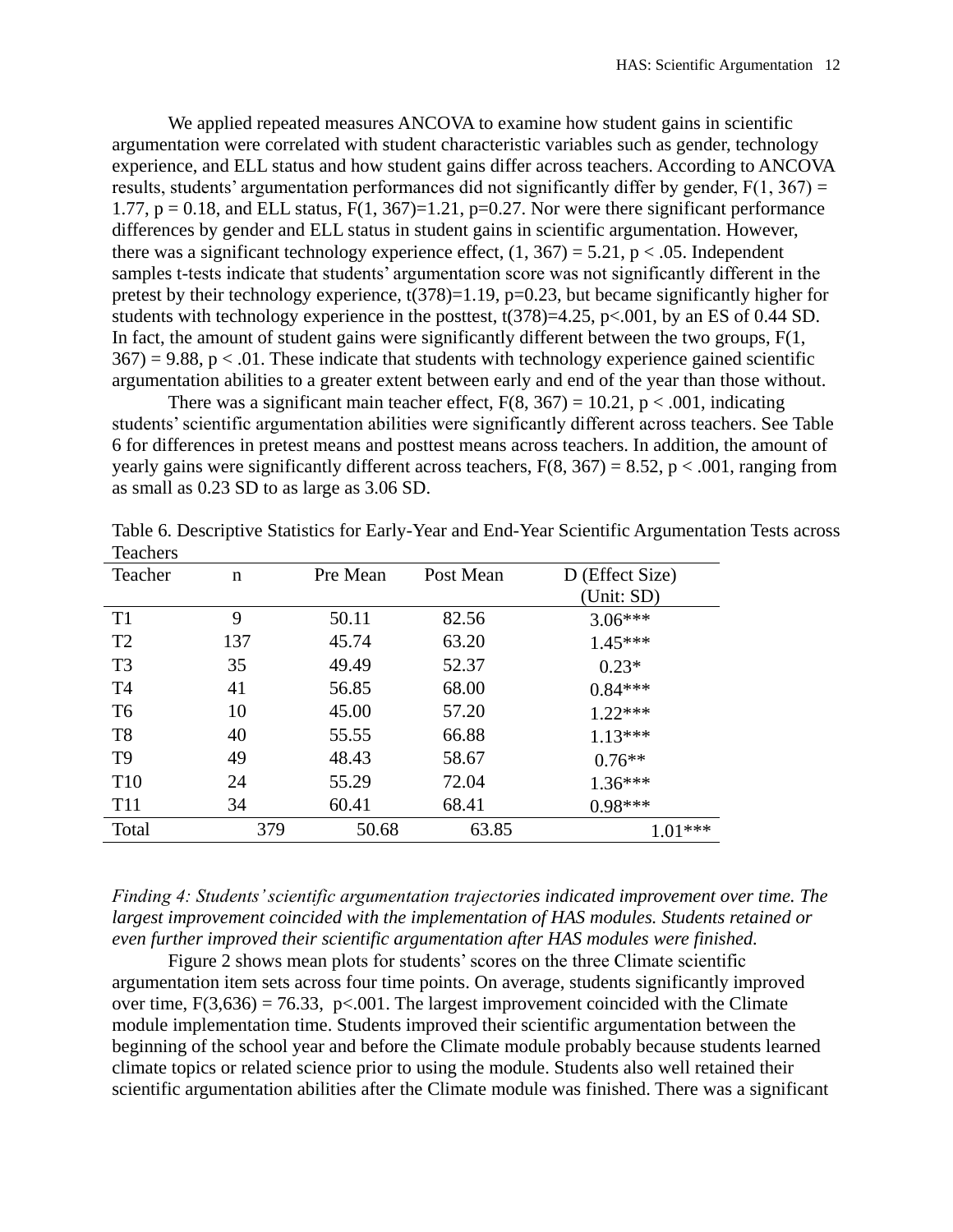We applied repeated measures ANCOVA to examine how student gains in scientific argumentation were correlated with student characteristic variables such as gender, technology experience, and ELL status and how student gains differ across teachers. According to ANCOVA results, students' argumentation performances did not significantly differ by gender,  $F(1, 367) =$ 1.77,  $p = 0.18$ , and ELL status,  $F(1, 367)=1.21$ ,  $p=0.27$ . Nor were there significant performance differences by gender and ELL status in student gains in scientific argumentation. However, there was a significant technology experience effect,  $(1, 367) = 5.21$ ,  $p < .05$ . Independent samples t-tests indicate that students' argumentation score was not significantly different in the pretest by their technology experience, t(378)=1.19, p=0.23, but became significantly higher for students with technology experience in the posttest,  $t(378)=4.25$ ,  $p<.001$ , by an ES of 0.44 SD. In fact, the amount of student gains were significantly different between the two groups,  $F(1, 1)$  $367$ ) = 9.88, p < .01. These indicate that students with technology experience gained scientific argumentation abilities to a greater extent between early and end of the year than those without.

There was a significant main teacher effect,  $F(8, 367) = 10.21$ ,  $p < .001$ , indicating students' scientific argumentation abilities were significantly different across teachers. See Table 6 for differences in pretest means and posttest means across teachers. In addition, the amount of yearly gains were significantly different across teachers,  $F(8, 367) = 8.52$ ,  $p < .001$ , ranging from as small as 0.23 SD to as large as 3.06 SD.

| Teacher         | n   | Pre Mean | Post Mean | D (Effect Size) |
|-----------------|-----|----------|-----------|-----------------|
|                 |     |          |           | (Unit: SD)      |
| T1              | 9   | 50.11    | 82.56     | $3.06***$       |
| T <sub>2</sub>  | 137 | 45.74    | 63.20     | $1.45***$       |
| T <sub>3</sub>  | 35  | 49.49    | 52.37     | $0.23*$         |
| T <sub>4</sub>  | 41  | 56.85    | 68.00     | $0.84***$       |
| T <sub>6</sub>  | 10  | 45.00    | 57.20     | $1.22***$       |
| T <sub>8</sub>  | 40  | 55.55    | 66.88     | $1.13***$       |
| T <sub>9</sub>  | 49  | 48.43    | 58.67     | $0.76**$        |
| T <sub>10</sub> | 24  | 55.29    | 72.04     | 1.36***         |
| <b>T11</b>      | 34  | 60.41    | 68.41     | $0.98***$       |
| Total           | 379 | 50.68    | 63.85     | $1.01***$       |

Table 6. Descriptive Statistics for Early-Year and End-Year Scientific Argumentation Tests across Teachers

*Finding 4: Students' scientific argumentation trajectories indicated improvement over time. The largest improvement coincided with the implementation of HAS modules. Students retained or even further improved their scientific argumentation after HAS modules were finished.*

Figure 2 shows mean plots for students' scores on the three Climate scientific argumentation item sets across four time points. On average, students significantly improved over time,  $F(3,636) = 76.33$ ,  $p< .001$ . The largest improvement coincided with the Climate module implementation time. Students improved their scientific argumentation between the beginning of the school year and before the Climate module probably because students learned climate topics or related science prior to using the module. Students also well retained their scientific argumentation abilities after the Climate module was finished. There was a significant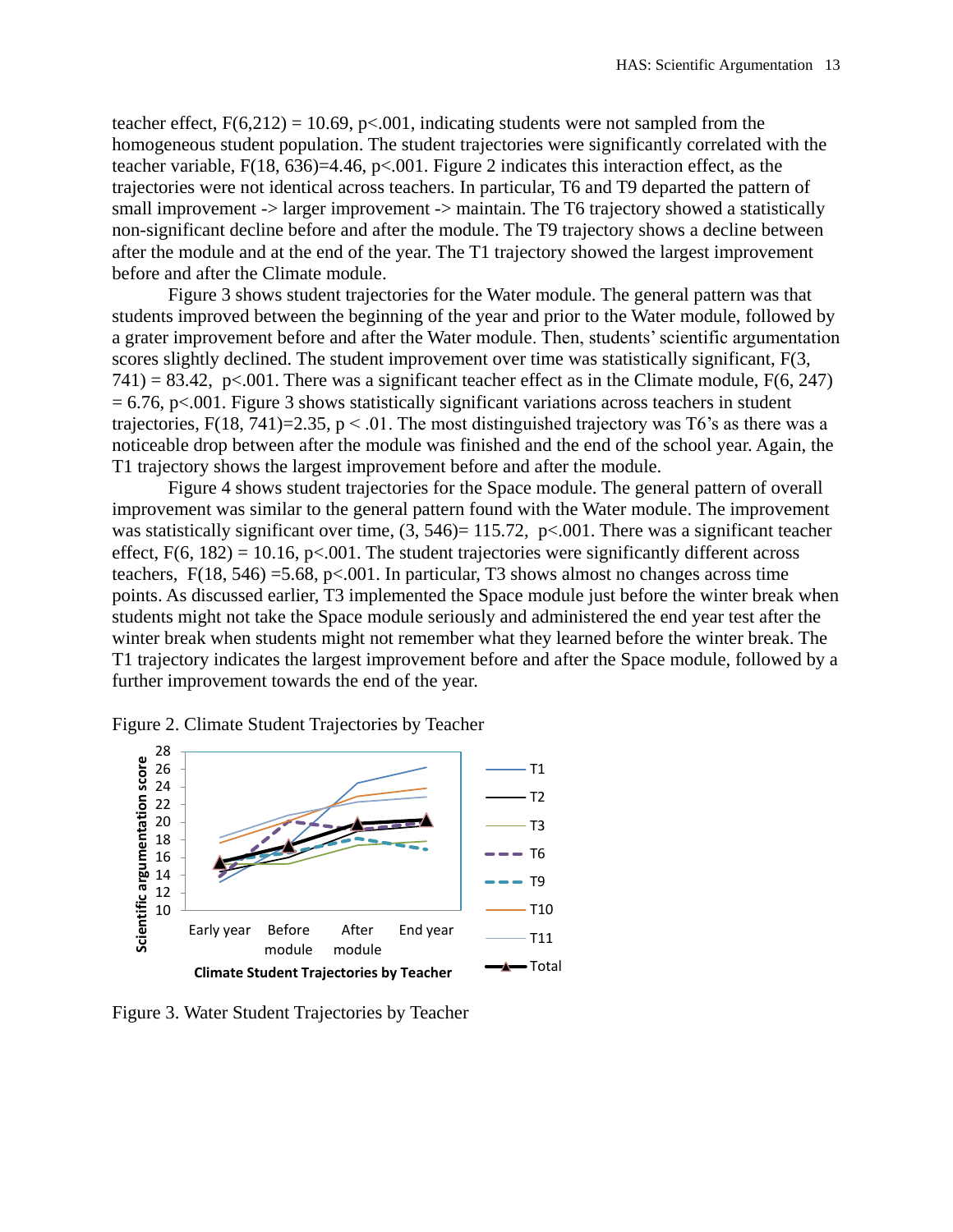teacher effect,  $F(6,212) = 10.69$ , p<.001, indicating students were not sampled from the homogeneous student population. The student trajectories were significantly correlated with the teacher variable,  $F(18, 636)=4.46$ ,  $p<.001$ . Figure 2 indicates this interaction effect, as the trajectories were not identical across teachers. In particular, T6 and T9 departed the pattern of small improvement -> larger improvement -> maintain. The T6 trajectory showed a statistically non-significant decline before and after the module. The T9 trajectory shows a decline between after the module and at the end of the year. The T1 trajectory showed the largest improvement before and after the Climate module.

Figure 3 shows student trajectories for the Water module. The general pattern was that students improved between the beginning of the year and prior to the Water module, followed by a grater improvement before and after the Water module. Then, students' scientific argumentation scores slightly declined. The student improvement over time was statistically significant, F(3,  $741$ ) = 83.42, p<.001. There was a significant teacher effect as in the Climate module, F(6, 247)  $= 6.76$ , p $< 0.001$ . Figure 3 shows statistically significant variations across teachers in student trajectories,  $F(18, 741)=2.35$ ,  $p < 0.01$ . The most distinguished trajectory was T6's as there was a noticeable drop between after the module was finished and the end of the school year. Again, the T1 trajectory shows the largest improvement before and after the module.

Figure 4 shows student trajectories for the Space module. The general pattern of overall improvement was similar to the general pattern found with the Water module. The improvement was statistically significant over time,  $(3, 546) = 115.72$ ,  $p < .001$ . There was a significant teacher effect,  $F(6, 182) = 10.16$ , p<.001. The student trajectories were significantly different across teachers,  $F(18, 546) = 5.68$ , p<.001. In particular, T3 shows almost no changes across time points. As discussed earlier, T3 implemented the Space module just before the winter break when students might not take the Space module seriously and administered the end year test after the winter break when students might not remember what they learned before the winter break. The T1 trajectory indicates the largest improvement before and after the Space module, followed by a further improvement towards the end of the year.



Figure 2. Climate Student Trajectories by Teacher

Figure 3. Water Student Trajectories by Teacher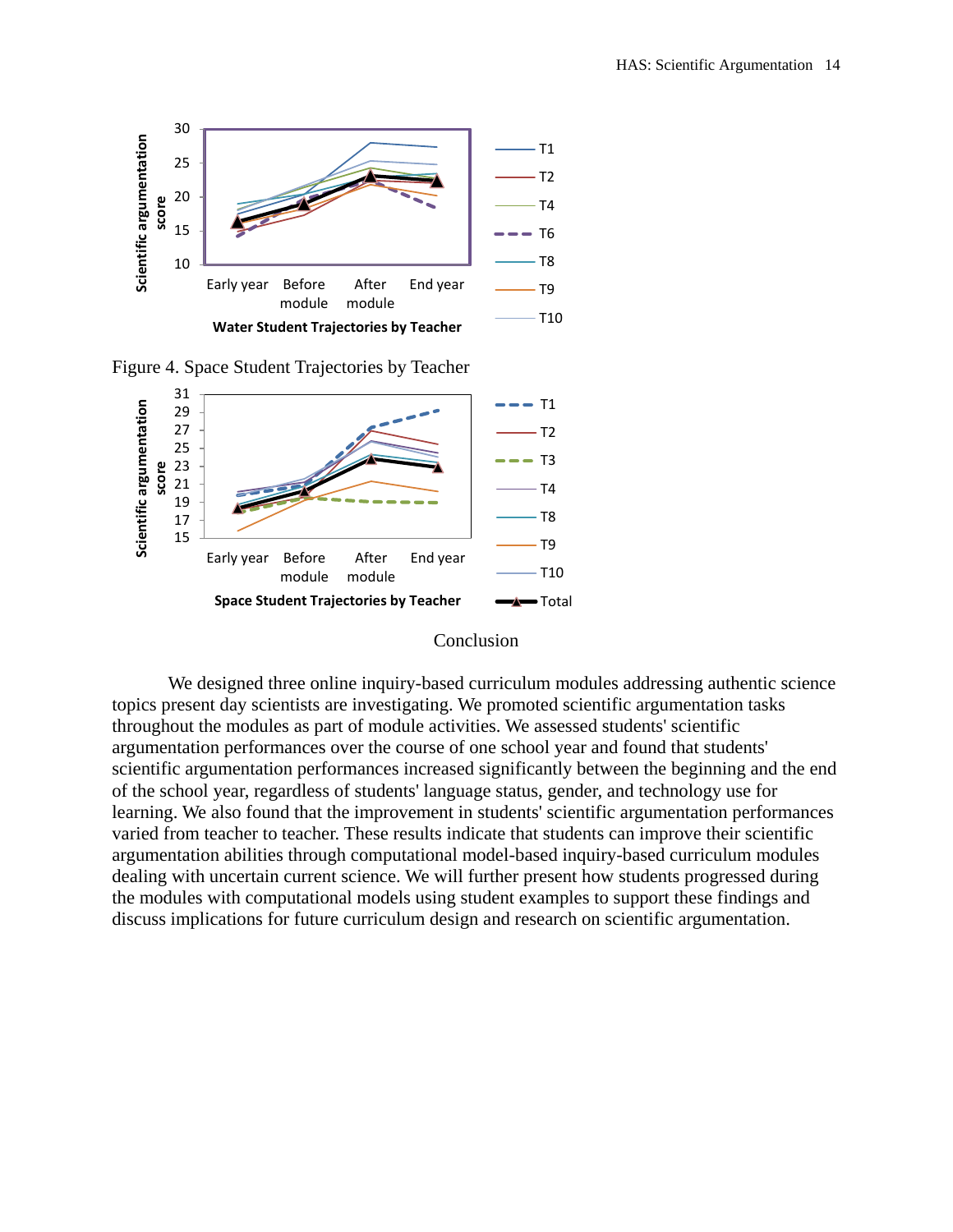

Figure 4. Space Student Trajectories by Teacher



#### Conclusion

We designed three online inquiry-based curriculum modules addressing authentic science topics present day scientists are investigating. We promoted scientific argumentation tasks throughout the modules as part of module activities. We assessed students' scientific argumentation performances over the course of one school year and found that students' scientific argumentation performances increased significantly between the beginning and the end of the school year, regardless of students' language status, gender, and technology use for learning. We also found that the improvement in students' scientific argumentation performances varied from teacher to teacher. These results indicate that students can improve their scientific argumentation abilities through computational model-based inquiry-based curriculum modules dealing with uncertain current science. We will further present how students progressed during the modules with computational models using student examples to support these findings and discuss implications for future curriculum design and research on scientific argumentation.